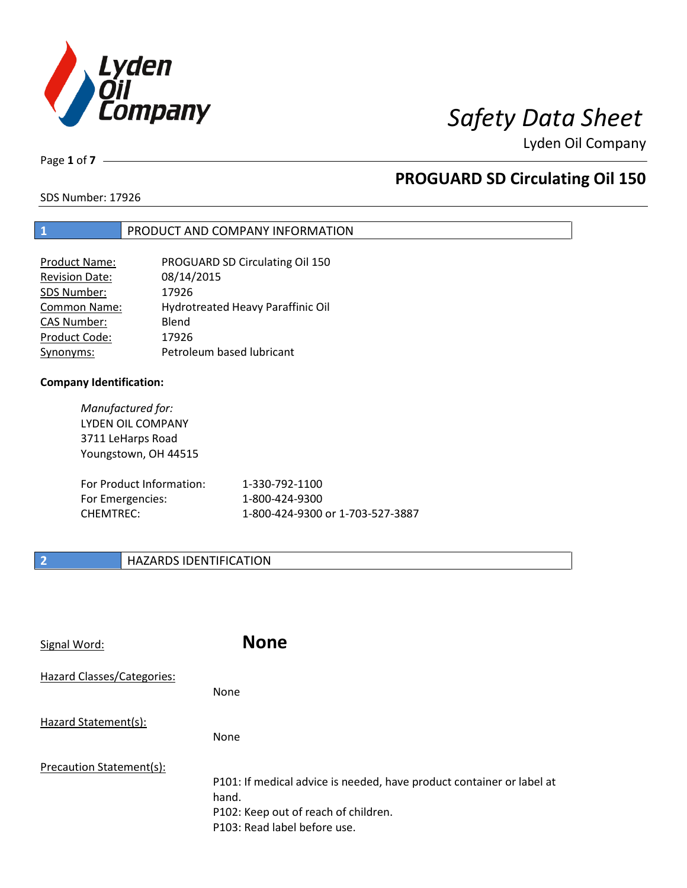

Page **1** of **7**

# **PROGUARD SD Circulating Oil 150**

SDS Number: 17926

### **1** PRODUCT AND COMPANY INFORMATION

| PROGUARD SD Circulating Oil 150   |
|-----------------------------------|
| 08/14/2015                        |
| 17926                             |
| Hydrotreated Heavy Paraffinic Oil |
| Blend                             |
| 17926                             |
| Petroleum based lubricant         |
|                                   |

### **Company Identification:**

*Manufactured for:* LYDEN OIL COMPANY 3711 LeHarps Road Youngstown, OH 44515

| For Product Information: | 1-330-792-1100                   |
|--------------------------|----------------------------------|
| For Emergencies:         | 1-800-424-9300                   |
| CHEMTREC:                | 1-800-424-9300 or 1-703-527-3887 |

### **2 HAZARDS IDENTIFICATION**

| Signal Word:               | <b>None</b>                                                                                                                                            |
|----------------------------|--------------------------------------------------------------------------------------------------------------------------------------------------------|
| Hazard Classes/Categories: | None                                                                                                                                                   |
| Hazard Statement(s):       | None                                                                                                                                                   |
| Precaution Statement(s):   | P101: If medical advice is needed, have product container or label at<br>hand.<br>P102: Keep out of reach of children.<br>P103: Read label before use. |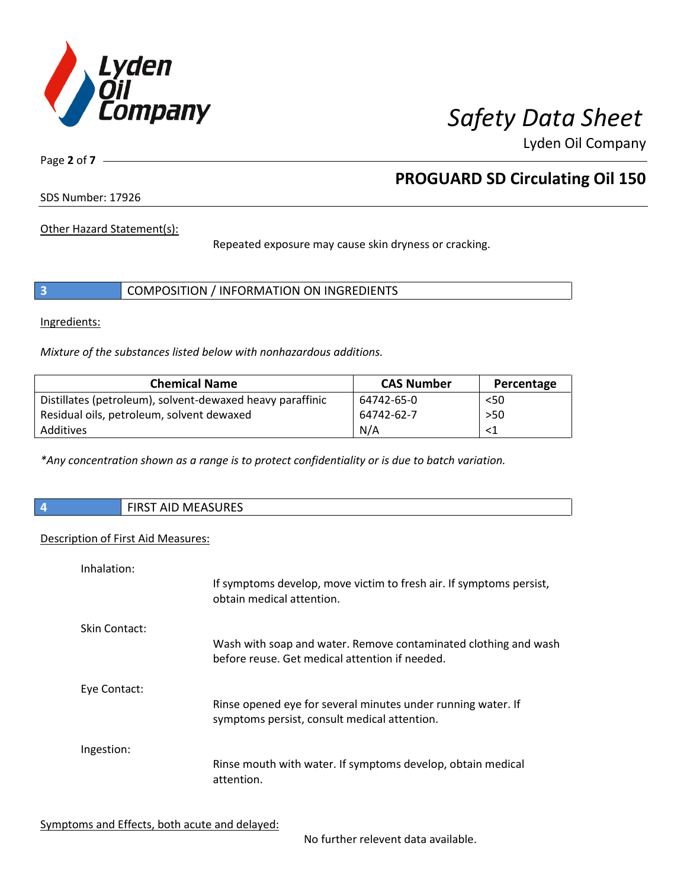

Page **2** of **7**

# **PROGUARD SD Circulating Oil 150**

SDS Number: 17926

Other Hazard Statement(s):

Repeated exposure may cause skin dryness or cracking.

|  | COMPOSITION / INFORMATION ON INGREDIENTS |
|--|------------------------------------------|
|--|------------------------------------------|

Ingredients:

*Mixture of the substances listed below with nonhazardous additions.*

| <b>Chemical Name</b>                                      | <b>CAS Number</b> | Percentage |
|-----------------------------------------------------------|-------------------|------------|
| Distillates (petroleum), solvent-dewaxed heavy paraffinic | 64742-65-0        | < 50       |
| Residual oils, petroleum, solvent dewaxed                 | 64742-62-7        | $>50$      |
| Additives                                                 | N/A               |            |

*\*Any concentration shown as a range is to protect confidentiality or is due to batch variation.*

|  |  | <b>FIRST AID MEASURES</b> |
|--|--|---------------------------|
|--|--|---------------------------|

#### Description of First Aid Measures:

| Inhalation:   | If symptoms develop, move victim to fresh air. If symptoms persist,<br>obtain medical attention.                  |
|---------------|-------------------------------------------------------------------------------------------------------------------|
| Skin Contact: | Wash with soap and water. Remove contaminated clothing and wash<br>before reuse. Get medical attention if needed. |
| Eye Contact:  | Rinse opened eye for several minutes under running water. If<br>symptoms persist, consult medical attention.      |
| Ingestion:    | Rinse mouth with water. If symptoms develop, obtain medical<br>attention.                                         |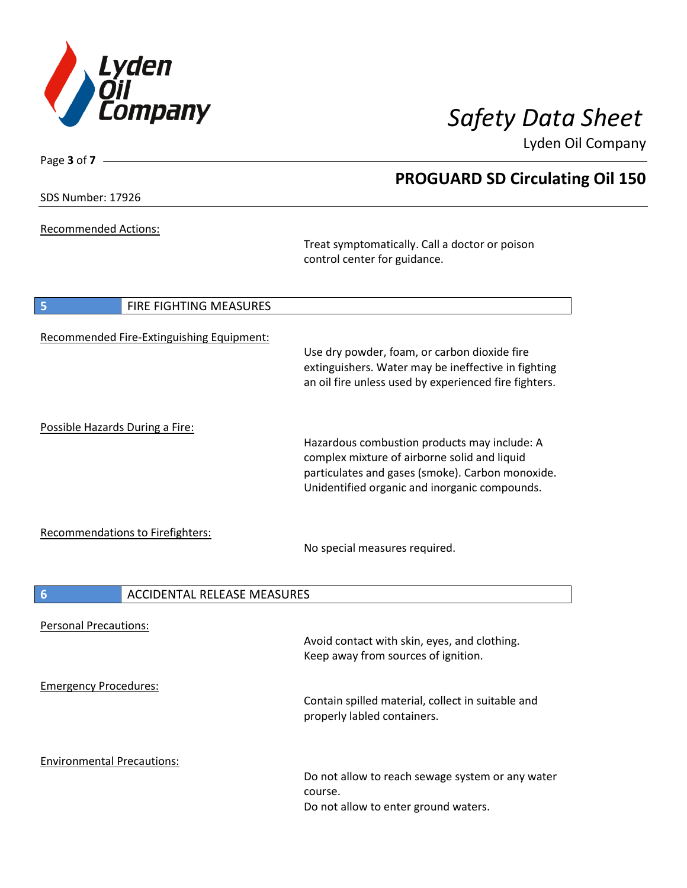

SDS Number: 17926

Page **3** of **7**

Recommended Actions:

Treat symptomatically. Call a doctor or poison control center for guidance.

| $\overline{\phantom{a}}$          | FIRE FIGHTING MEASURES                    |                                                                                                                                                                                                   |
|-----------------------------------|-------------------------------------------|---------------------------------------------------------------------------------------------------------------------------------------------------------------------------------------------------|
|                                   | Recommended Fire-Extinguishing Equipment: | Use dry powder, foam, or carbon dioxide fire<br>extinguishers. Water may be ineffective in fighting<br>an oil fire unless used by experienced fire fighters.                                      |
| Possible Hazards During a Fire:   |                                           | Hazardous combustion products may include: A<br>complex mixture of airborne solid and liquid<br>particulates and gases (smoke). Carbon monoxide.<br>Unidentified organic and inorganic compounds. |
| Recommendations to Firefighters:  |                                           | No special measures required.                                                                                                                                                                     |
| $6\phantom{1}6$                   | <b>ACCIDENTAL RELEASE MEASURES</b>        |                                                                                                                                                                                                   |
| <b>Personal Precautions:</b>      |                                           | Avoid contact with skin, eyes, and clothing.<br>Keep away from sources of ignition.                                                                                                               |
| <b>Emergency Procedures:</b>      |                                           | Contain spilled material, collect in suitable and<br>properly labled containers.                                                                                                                  |
| <b>Environmental Precautions:</b> |                                           | Do not allow to reach sewage system or any water<br>course.<br>Do not allow to enter ground waters.                                                                                               |

# **PROGUARD SD Circulating Oil 150**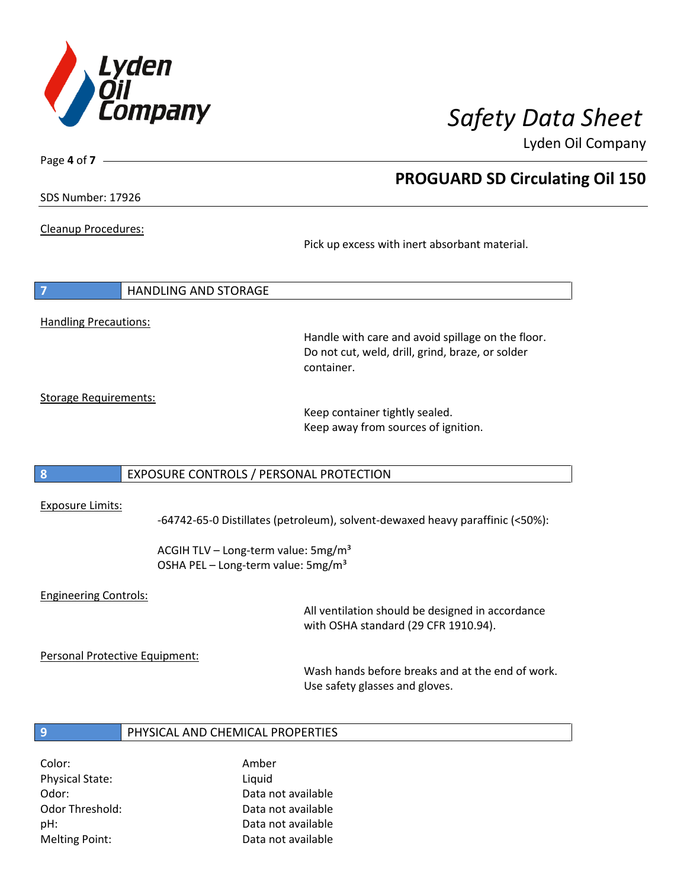

**PROGUARD SD Circulating Oil 150**

Lyden Oil Company

SDS Number: 17926

Page **4** of **7**

#### Cleanup Procedures:

Pick up excess with inert absorbant material.

| $\overline{7}$               | <b>HANDLING AND STORAGE</b> |  |
|------------------------------|-----------------------------|--|
|                              |                             |  |
| <b>Handling Precautions:</b> |                             |  |

Handle with care and avoid spillage on the floor. Do not cut, weld, drill, grind, braze, or solder container.

Storage Requirements:

Keep container tightly sealed. Keep away from sources of ignition.

#### **8** EXPOSURE CONTROLS / PERSONAL PROTECTION

#### Exposure Limits:

-64742-65-0 Distillates (petroleum), solvent-dewaxed heavy paraffinic (<50%):

ACGIH TLV – Long-term value:  $5mg/m<sup>3</sup>$ OSHA PEL - Long-term value: 5mg/m<sup>3</sup>

#### Engineering Controls:

All ventilation should be designed in accordance with OSHA standard (29 CFR 1910.94).

Personal Protective Equipment:

Wash hands before breaks and at the end of work. Use safety glasses and gloves.

#### **9** PHYSICAL AND CHEMICAL PROPERTIES

Color: Amber Physical State: Liquid Melting Point: Data not available

Odor: Data not available Odor Threshold: Data not available pH: Data not available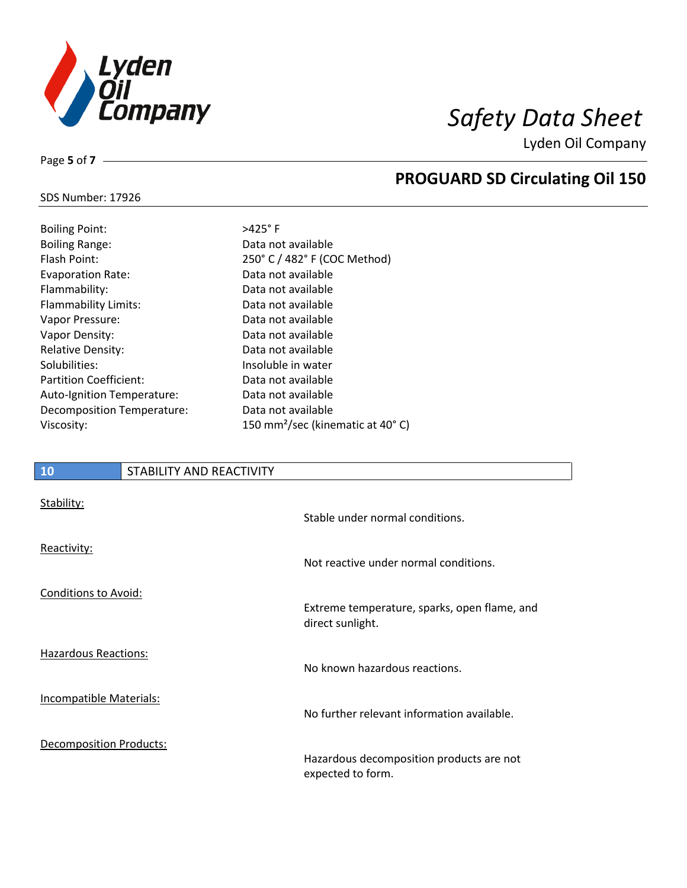

**PROGUARD SD Circulating Oil 150**

Lyden Oil Company

## SDS Number: 17926

Page **5** of **7**

| <b>Boiling Point:</b>         | $>425^\circ$ F       |
|-------------------------------|----------------------|
| <b>Boiling Range:</b>         | Data no              |
| Flash Point:                  | 250 $^{\circ}$ C $/$ |
| <b>Evaporation Rate:</b>      | Data no              |
| Flammability:                 | Data nc              |
| <b>Flammability Limits:</b>   | Data no              |
| Vapor Pressure:               | Data nc              |
| Vapor Density:                | Data no              |
| <b>Relative Density:</b>      | Data no              |
| Solubilities:                 | Insolub              |
| <b>Partition Coefficient:</b> | Data no              |
| Auto-Ignition Temperature:    | Data no              |
| Decomposition Temperature:    | Data nc              |
| Viscosity:                    | 150 mn               |

ta not available 0° C / 482° F (COC Method) ta not available ta not available ta not available ta not available ta not available ta not available soluble in water ta not available ta not available ta not available 0 mm<sup>2</sup>/sec (kinematic at 40°C)

# **10** STABILITY AND REACTIVITY Stability:

|                                | Stable under normal conditions.                                  |
|--------------------------------|------------------------------------------------------------------|
| Reactivity:                    | Not reactive under normal conditions.                            |
| Conditions to Avoid:           | Extreme temperature, sparks, open flame, and<br>direct sunlight. |
| <b>Hazardous Reactions:</b>    | No known hazardous reactions.                                    |
| Incompatible Materials:        | No further relevant information available.                       |
| <b>Decomposition Products:</b> | Hazardous decomposition products are not<br>expected to form.    |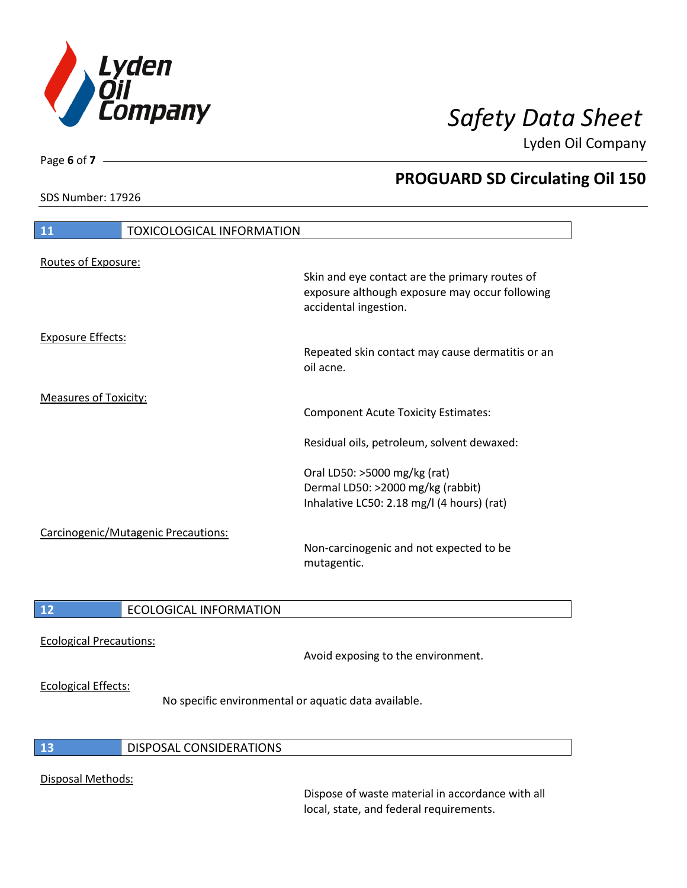

SDS Number: 17926

Page **6** of **7**

# **PROGUARD SD Circulating Oil 150**

| 11                                  | <b>TOXICOLOGICAL INFORMATION</b> |                                                                                                                                                                           |
|-------------------------------------|----------------------------------|---------------------------------------------------------------------------------------------------------------------------------------------------------------------------|
| Routes of Exposure:                 |                                  | Skin and eye contact are the primary routes of<br>exposure although exposure may occur following<br>accidental ingestion.                                                 |
| <b>Exposure Effects:</b>            |                                  | Repeated skin contact may cause dermatitis or an<br>oil acne.                                                                                                             |
| <b>Measures of Toxicity:</b>        |                                  | <b>Component Acute Toxicity Estimates:</b>                                                                                                                                |
|                                     |                                  | Residual oils, petroleum, solvent dewaxed:                                                                                                                                |
| Carcinogenic/Mutagenic Precautions: |                                  | Oral LD50: >5000 mg/kg (rat)<br>Dermal LD50: >2000 mg/kg (rabbit)<br>Inhalative LC50: 2.18 mg/l (4 hours) (rat)<br>Non-carcinogenic and not expected to be<br>mutagentic. |
| 12                                  | <b>ECOLOGICAL INFORMATION</b>    |                                                                                                                                                                           |

Ecological Precautions:

Avoid exposing to the environment.

### Ecological Effects:

No specific environmental or aquatic data available.

### **13** DISPOSAL CONSIDERATIONS

### Disposal Methods:

Dispose of waste material in accordance with all local, state, and federal requirements.